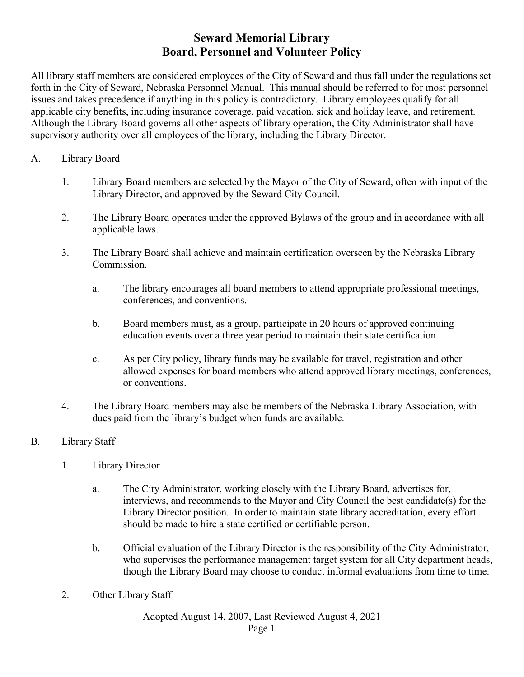## **Seward Memorial Library Board, Personnel and Volunteer Policy**

All library staff members are considered employees of the City of Seward and thus fall under the regulations set forth in the City of Seward, Nebraska Personnel Manual. This manual should be referred to for most personnel issues and takes precedence if anything in this policy is contradictory. Library employees qualify for all applicable city benefits, including insurance coverage, paid vacation, sick and holiday leave, and retirement. Although the Library Board governs all other aspects of library operation, the City Administrator shall have supervisory authority over all employees of the library, including the Library Director.

## A. Library Board

- 1. Library Board members are selected by the Mayor of the City of Seward, often with input of the Library Director, and approved by the Seward City Council.
- 2. The Library Board operates under the approved Bylaws of the group and in accordance with all applicable laws.
- 3. The Library Board shall achieve and maintain certification overseen by the Nebraska Library Commission.
	- a. The library encourages all board members to attend appropriate professional meetings, conferences, and conventions.
	- b. Board members must, as a group, participate in 20 hours of approved continuing education events over a three year period to maintain their state certification.
	- c. As per City policy, library funds may be available for travel, registration and other allowed expenses for board members who attend approved library meetings, conferences, or conventions.
- 4. The Library Board members may also be members of the Nebraska Library Association, with dues paid from the library's budget when funds are available.

## B. Library Staff

- 1. Library Director
	- a. The City Administrator, working closely with the Library Board, advertises for, interviews, and recommends to the Mayor and City Council the best candidate(s) for the Library Director position. In order to maintain state library accreditation, every effort should be made to hire a state certified or certifiable person.
	- b. Official evaluation of the Library Director is the responsibility of the City Administrator, who supervises the performance management target system for all City department heads, though the Library Board may choose to conduct informal evaluations from time to time.
- 2. Other Library Staff

Adopted August 14, 2007, Last Reviewed August 4, 2021

Page 1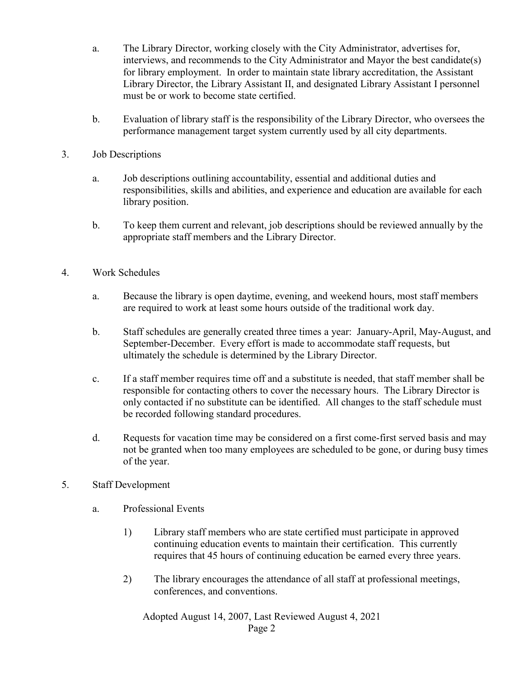- a. The Library Director, working closely with the City Administrator, advertises for, interviews, and recommends to the City Administrator and Mayor the best candidate(s) for library employment. In order to maintain state library accreditation, the Assistant Library Director, the Library Assistant II, and designated Library Assistant I personnel must be or work to become state certified.
- b. Evaluation of library staff is the responsibility of the Library Director, who oversees the performance management target system currently used by all city departments.
- 3. Job Descriptions
	- a. Job descriptions outlining accountability, essential and additional duties and responsibilities, skills and abilities, and experience and education are available for each library position.
	- b. To keep them current and relevant, job descriptions should be reviewed annually by the appropriate staff members and the Library Director.
- 4. Work Schedules
	- a. Because the library is open daytime, evening, and weekend hours, most staff members are required to work at least some hours outside of the traditional work day.
	- b. Staff schedules are generally created three times a year: January-April, May-August, and September-December. Every effort is made to accommodate staff requests, but ultimately the schedule is determined by the Library Director.
	- c. If a staff member requires time off and a substitute is needed, that staff member shall be responsible for contacting others to cover the necessary hours. The Library Director is only contacted if no substitute can be identified. All changes to the staff schedule must be recorded following standard procedures.
	- d. Requests for vacation time may be considered on a first come-first served basis and may not be granted when too many employees are scheduled to be gone, or during busy times of the year.
- 5. Staff Development
	- a. Professional Events
		- 1) Library staff members who are state certified must participate in approved continuing education events to maintain their certification. This currently requires that 45 hours of continuing education be earned every three years.
		- 2) The library encourages the attendance of all staff at professional meetings, conferences, and conventions.

Adopted August 14, 2007, Last Reviewed August 4, 2021 Page 2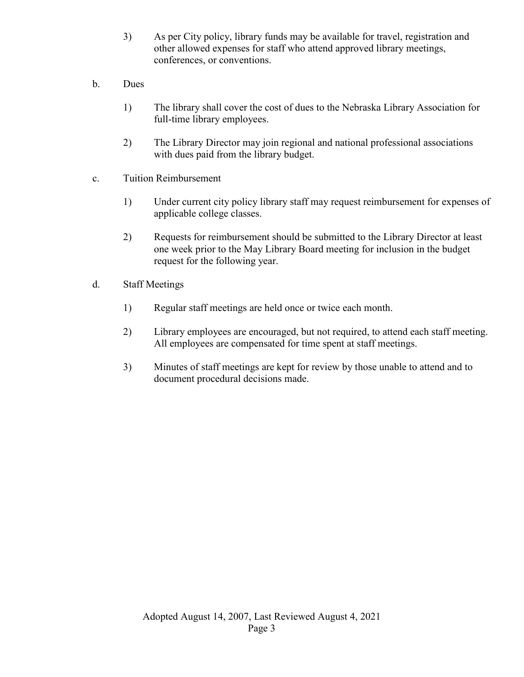- 3) As per City policy, library funds may be available for travel, registration and other allowed expenses for staff who attend approved library meetings, conferences, or conventions.
- b. Dues
	- 1) The library shall cover the cost of dues to the Nebraska Library Association for full-time library employees.
	- 2) The Library Director may join regional and national professional associations with dues paid from the library budget.
- c. Tuition Reimbursement
	- 1) Under current city policy library staff may request reimbursement for expenses of applicable college classes.
	- 2) Requests for reimbursement should be submitted to the Library Director at least one week prior to the May Library Board meeting for inclusion in the budget request for the following year.
- d. Staff Meetings
	- 1) Regular staff meetings are held once or twice each month.
	- 2) Library employees are encouraged, but not required, to attend each staff meeting. All employees are compensated for time spent at staff meetings.
	- 3) Minutes of staff meetings are kept for review by those unable to attend and to document procedural decisions made.